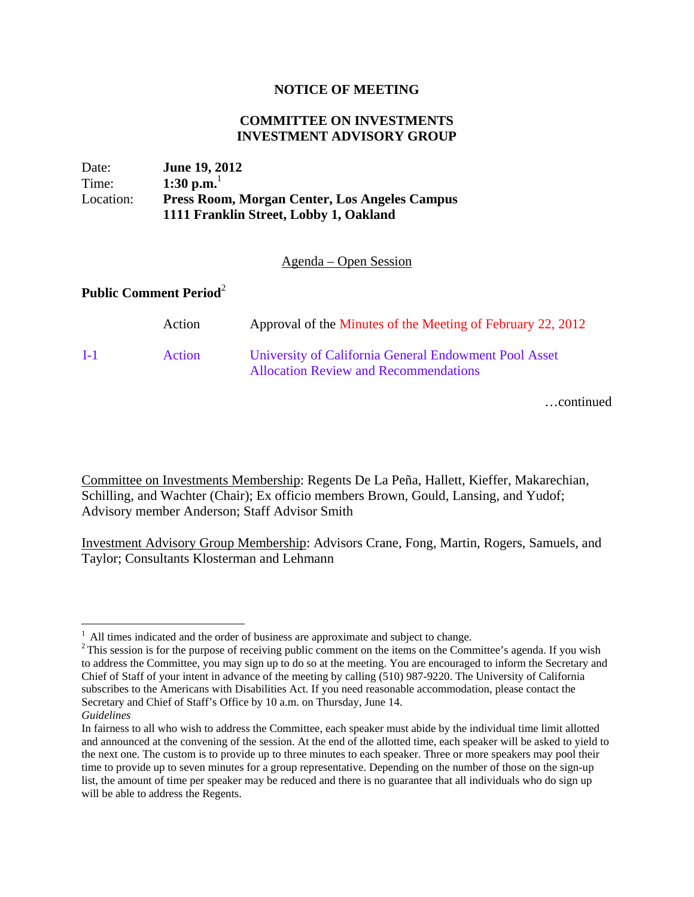## **NOTICE OF MEETING**

## **COMMITTEE ON INVESTMENTS INVESTMENT ADVISORY GROUP**

| Date:     | <b>June 19, 2012</b>                                 |
|-----------|------------------------------------------------------|
| Time:     | 1:30 p.m. $^{-1}$                                    |
| Location: | <b>Press Room, Morgan Center, Los Angeles Campus</b> |
|           | 1111 Franklin Street, Lobby 1, Oakland               |

Agenda – Open Session

## **Public Comment Period**<sup>2</sup>

|       | Action        | Approval of the Minutes of the Meeting of February 22, 2012                                           |
|-------|---------------|-------------------------------------------------------------------------------------------------------|
| $I-1$ | <b>Action</b> | University of California General Endowment Pool Asset<br><b>Allocation Review and Recommendations</b> |

…continued

Committee on Investments Membership: Regents De La Peña, Hallett, Kieffer, Makarechian, Schilling, and Wachter (Chair); Ex officio members Brown, Gould, Lansing, and Yudof; Advisory member Anderson; Staff Advisor Smith

Investment Advisory Group Membership: Advisors Crane, Fong, Martin, Rogers, Samuels, and Taylor; Consultants Klosterman and Lehmann

1

<sup>&</sup>lt;sup>1</sup> All times indicated and the order of business are approximate and subject to change. <sup>2</sup> This session is for the purpose of receiving public comment on the items on the Committee's agenda. If you wish to address the Committee, you may sign up to do so at the meeting. You are encouraged to inform the Secretary and Chief of Staff of your intent in advance of the meeting by calling (510) 987-9220. The University of California subscribes to the Americans with Disabilities Act. If you need reasonable accommodation, please contact the Secretary and Chief of Staff's Office by 10 a.m. on Thursday, June 14.

*Guidelines*

In fairness to all who wish to address the Committee, each speaker must abide by the individual time limit allotted and announced at the convening of the session. At the end of the allotted time, each speaker will be asked to yield to the next one. The custom is to provide up to three minutes to each speaker. Three or more speakers may pool their time to provide up to seven minutes for a group representative. Depending on the number of those on the sign-up list, the amount of time per speaker may be reduced and there is no guarantee that all individuals who do sign up will be able to address the Regents.